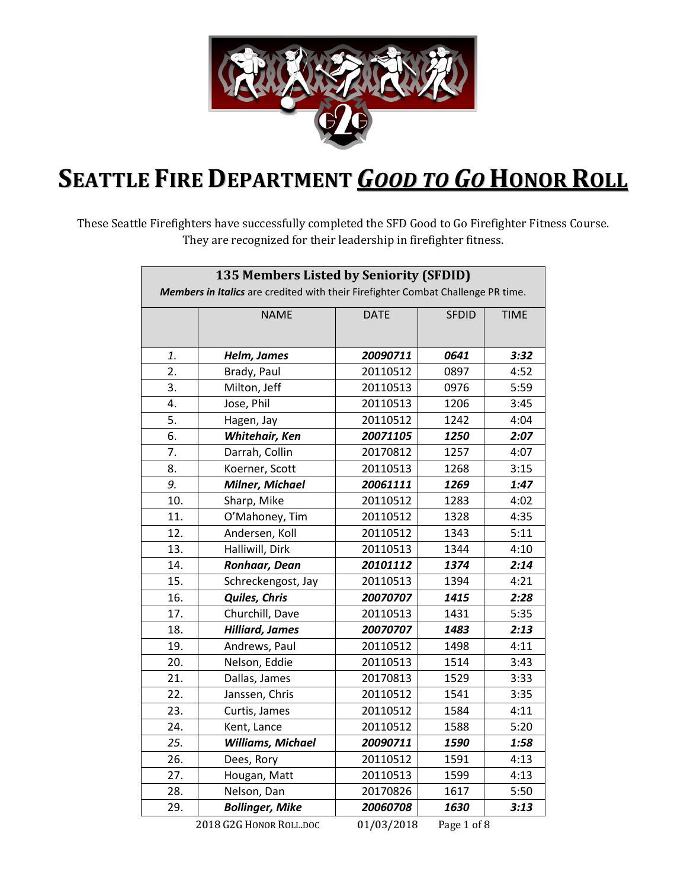

## **SEATTLE FIRE DEPARTMENT** *GOOD TO GO* **HONOR ROLL**

These Seattle Firefighters have successfully completed the SFD Good to Go Firefighter Fitness Course. They are recognized for their leadership in firefighter fitness.

| <b>NAME</b><br><b>DATE</b><br><b>SFDID</b><br><b>TIME</b><br>0641<br>3:32<br>1.<br>Helm, James<br>20090711<br>$\overline{2}$ .<br>20110512<br>4:52<br>Brady, Paul<br>0897<br>$\overline{3}$ .<br>20110513<br>5:59<br>Milton, Jeff<br>0976<br>Jose, Phil<br>20110513<br>4.<br>1206<br>3:45<br>5.<br>1242<br>Hagen, Jay<br>20110512<br>4:04<br>6.<br>Whitehair, Ken<br>20071105<br>1250<br>2:07<br>Darrah, Collin<br>20170812<br>7.<br>1257<br>4:07<br>20110513<br>8.<br>Koerner, Scott<br>1268<br>3:15<br>9.<br><b>Milner, Michael</b><br>20061111<br>1269<br>1:47<br>10.<br>Sharp, Mike<br>20110512<br>1283<br>4:02<br>11.<br>O'Mahoney, Tim<br>1328<br>20110512<br>4:35<br>12.<br>5:11<br>Andersen, Koll<br>20110512<br>1343<br>Halliwill, Dirk<br>13.<br>20110513<br>1344<br>4:10<br>14.<br>Ronhaar, Dean<br>20101112<br>1374<br>2:14<br>15.<br>20110513<br>Schreckengost, Jay<br>1394<br>4:21<br><b>Quiles, Chris</b><br>16.<br>20070707<br>1415<br>2:28<br>17.<br>Churchill, Dave<br>20110513<br>1431<br>5:35<br>18.<br><b>Hilliard, James</b><br>20070707<br>1483<br>2:13<br>19.<br>Andrews, Paul<br>4:11<br>20110512<br>1498<br>20.<br>20110513<br>Nelson, Eddie<br>1514<br>3:43<br>21.<br>Dallas, James<br>20170813<br>1529<br>3:33<br>22.<br>Janssen, Chris<br>20110512<br>1541<br>3:35<br>23.<br>1584<br>20110512<br>4:11<br>Curtis, James<br>5:20<br>24.<br>1588<br>Kent, Lance<br>20110512<br>25.<br><b>Williams, Michael</b><br>20090711<br>1590<br>1:58<br>26.<br>20110512<br>1591<br>Dees, Rory<br>4:13<br>27.<br>20110513<br>1599<br>4:13<br>Hougan, Matt<br>28.<br>20170826<br>1617<br>5:50<br>Nelson, Dan<br>29.<br>20060708<br>1630<br>3:13<br><b>Bollinger, Mike</b> | 135 Members Listed by Seniority (SFDID)<br>Members in Italics are credited with their Firefighter Combat Challenge PR time. |  |  |  |  |  |
|-----------------------------------------------------------------------------------------------------------------------------------------------------------------------------------------------------------------------------------------------------------------------------------------------------------------------------------------------------------------------------------------------------------------------------------------------------------------------------------------------------------------------------------------------------------------------------------------------------------------------------------------------------------------------------------------------------------------------------------------------------------------------------------------------------------------------------------------------------------------------------------------------------------------------------------------------------------------------------------------------------------------------------------------------------------------------------------------------------------------------------------------------------------------------------------------------------------------------------------------------------------------------------------------------------------------------------------------------------------------------------------------------------------------------------------------------------------------------------------------------------------------------------------------------------------------------------------------------------------------------------------------------------------------------------------------|-----------------------------------------------------------------------------------------------------------------------------|--|--|--|--|--|
|                                                                                                                                                                                                                                                                                                                                                                                                                                                                                                                                                                                                                                                                                                                                                                                                                                                                                                                                                                                                                                                                                                                                                                                                                                                                                                                                                                                                                                                                                                                                                                                                                                                                                         |                                                                                                                             |  |  |  |  |  |
|                                                                                                                                                                                                                                                                                                                                                                                                                                                                                                                                                                                                                                                                                                                                                                                                                                                                                                                                                                                                                                                                                                                                                                                                                                                                                                                                                                                                                                                                                                                                                                                                                                                                                         |                                                                                                                             |  |  |  |  |  |
|                                                                                                                                                                                                                                                                                                                                                                                                                                                                                                                                                                                                                                                                                                                                                                                                                                                                                                                                                                                                                                                                                                                                                                                                                                                                                                                                                                                                                                                                                                                                                                                                                                                                                         |                                                                                                                             |  |  |  |  |  |
|                                                                                                                                                                                                                                                                                                                                                                                                                                                                                                                                                                                                                                                                                                                                                                                                                                                                                                                                                                                                                                                                                                                                                                                                                                                                                                                                                                                                                                                                                                                                                                                                                                                                                         |                                                                                                                             |  |  |  |  |  |
|                                                                                                                                                                                                                                                                                                                                                                                                                                                                                                                                                                                                                                                                                                                                                                                                                                                                                                                                                                                                                                                                                                                                                                                                                                                                                                                                                                                                                                                                                                                                                                                                                                                                                         |                                                                                                                             |  |  |  |  |  |
|                                                                                                                                                                                                                                                                                                                                                                                                                                                                                                                                                                                                                                                                                                                                                                                                                                                                                                                                                                                                                                                                                                                                                                                                                                                                                                                                                                                                                                                                                                                                                                                                                                                                                         |                                                                                                                             |  |  |  |  |  |
|                                                                                                                                                                                                                                                                                                                                                                                                                                                                                                                                                                                                                                                                                                                                                                                                                                                                                                                                                                                                                                                                                                                                                                                                                                                                                                                                                                                                                                                                                                                                                                                                                                                                                         |                                                                                                                             |  |  |  |  |  |
|                                                                                                                                                                                                                                                                                                                                                                                                                                                                                                                                                                                                                                                                                                                                                                                                                                                                                                                                                                                                                                                                                                                                                                                                                                                                                                                                                                                                                                                                                                                                                                                                                                                                                         |                                                                                                                             |  |  |  |  |  |
|                                                                                                                                                                                                                                                                                                                                                                                                                                                                                                                                                                                                                                                                                                                                                                                                                                                                                                                                                                                                                                                                                                                                                                                                                                                                                                                                                                                                                                                                                                                                                                                                                                                                                         |                                                                                                                             |  |  |  |  |  |
|                                                                                                                                                                                                                                                                                                                                                                                                                                                                                                                                                                                                                                                                                                                                                                                                                                                                                                                                                                                                                                                                                                                                                                                                                                                                                                                                                                                                                                                                                                                                                                                                                                                                                         |                                                                                                                             |  |  |  |  |  |
|                                                                                                                                                                                                                                                                                                                                                                                                                                                                                                                                                                                                                                                                                                                                                                                                                                                                                                                                                                                                                                                                                                                                                                                                                                                                                                                                                                                                                                                                                                                                                                                                                                                                                         |                                                                                                                             |  |  |  |  |  |
|                                                                                                                                                                                                                                                                                                                                                                                                                                                                                                                                                                                                                                                                                                                                                                                                                                                                                                                                                                                                                                                                                                                                                                                                                                                                                                                                                                                                                                                                                                                                                                                                                                                                                         |                                                                                                                             |  |  |  |  |  |
|                                                                                                                                                                                                                                                                                                                                                                                                                                                                                                                                                                                                                                                                                                                                                                                                                                                                                                                                                                                                                                                                                                                                                                                                                                                                                                                                                                                                                                                                                                                                                                                                                                                                                         |                                                                                                                             |  |  |  |  |  |
|                                                                                                                                                                                                                                                                                                                                                                                                                                                                                                                                                                                                                                                                                                                                                                                                                                                                                                                                                                                                                                                                                                                                                                                                                                                                                                                                                                                                                                                                                                                                                                                                                                                                                         |                                                                                                                             |  |  |  |  |  |
|                                                                                                                                                                                                                                                                                                                                                                                                                                                                                                                                                                                                                                                                                                                                                                                                                                                                                                                                                                                                                                                                                                                                                                                                                                                                                                                                                                                                                                                                                                                                                                                                                                                                                         |                                                                                                                             |  |  |  |  |  |
|                                                                                                                                                                                                                                                                                                                                                                                                                                                                                                                                                                                                                                                                                                                                                                                                                                                                                                                                                                                                                                                                                                                                                                                                                                                                                                                                                                                                                                                                                                                                                                                                                                                                                         |                                                                                                                             |  |  |  |  |  |
|                                                                                                                                                                                                                                                                                                                                                                                                                                                                                                                                                                                                                                                                                                                                                                                                                                                                                                                                                                                                                                                                                                                                                                                                                                                                                                                                                                                                                                                                                                                                                                                                                                                                                         |                                                                                                                             |  |  |  |  |  |
|                                                                                                                                                                                                                                                                                                                                                                                                                                                                                                                                                                                                                                                                                                                                                                                                                                                                                                                                                                                                                                                                                                                                                                                                                                                                                                                                                                                                                                                                                                                                                                                                                                                                                         |                                                                                                                             |  |  |  |  |  |
|                                                                                                                                                                                                                                                                                                                                                                                                                                                                                                                                                                                                                                                                                                                                                                                                                                                                                                                                                                                                                                                                                                                                                                                                                                                                                                                                                                                                                                                                                                                                                                                                                                                                                         |                                                                                                                             |  |  |  |  |  |
|                                                                                                                                                                                                                                                                                                                                                                                                                                                                                                                                                                                                                                                                                                                                                                                                                                                                                                                                                                                                                                                                                                                                                                                                                                                                                                                                                                                                                                                                                                                                                                                                                                                                                         |                                                                                                                             |  |  |  |  |  |
|                                                                                                                                                                                                                                                                                                                                                                                                                                                                                                                                                                                                                                                                                                                                                                                                                                                                                                                                                                                                                                                                                                                                                                                                                                                                                                                                                                                                                                                                                                                                                                                                                                                                                         |                                                                                                                             |  |  |  |  |  |
|                                                                                                                                                                                                                                                                                                                                                                                                                                                                                                                                                                                                                                                                                                                                                                                                                                                                                                                                                                                                                                                                                                                                                                                                                                                                                                                                                                                                                                                                                                                                                                                                                                                                                         |                                                                                                                             |  |  |  |  |  |
|                                                                                                                                                                                                                                                                                                                                                                                                                                                                                                                                                                                                                                                                                                                                                                                                                                                                                                                                                                                                                                                                                                                                                                                                                                                                                                                                                                                                                                                                                                                                                                                                                                                                                         |                                                                                                                             |  |  |  |  |  |
|                                                                                                                                                                                                                                                                                                                                                                                                                                                                                                                                                                                                                                                                                                                                                                                                                                                                                                                                                                                                                                                                                                                                                                                                                                                                                                                                                                                                                                                                                                                                                                                                                                                                                         |                                                                                                                             |  |  |  |  |  |
|                                                                                                                                                                                                                                                                                                                                                                                                                                                                                                                                                                                                                                                                                                                                                                                                                                                                                                                                                                                                                                                                                                                                                                                                                                                                                                                                                                                                                                                                                                                                                                                                                                                                                         |                                                                                                                             |  |  |  |  |  |
|                                                                                                                                                                                                                                                                                                                                                                                                                                                                                                                                                                                                                                                                                                                                                                                                                                                                                                                                                                                                                                                                                                                                                                                                                                                                                                                                                                                                                                                                                                                                                                                                                                                                                         |                                                                                                                             |  |  |  |  |  |
|                                                                                                                                                                                                                                                                                                                                                                                                                                                                                                                                                                                                                                                                                                                                                                                                                                                                                                                                                                                                                                                                                                                                                                                                                                                                                                                                                                                                                                                                                                                                                                                                                                                                                         |                                                                                                                             |  |  |  |  |  |
|                                                                                                                                                                                                                                                                                                                                                                                                                                                                                                                                                                                                                                                                                                                                                                                                                                                                                                                                                                                                                                                                                                                                                                                                                                                                                                                                                                                                                                                                                                                                                                                                                                                                                         |                                                                                                                             |  |  |  |  |  |
|                                                                                                                                                                                                                                                                                                                                                                                                                                                                                                                                                                                                                                                                                                                                                                                                                                                                                                                                                                                                                                                                                                                                                                                                                                                                                                                                                                                                                                                                                                                                                                                                                                                                                         |                                                                                                                             |  |  |  |  |  |
|                                                                                                                                                                                                                                                                                                                                                                                                                                                                                                                                                                                                                                                                                                                                                                                                                                                                                                                                                                                                                                                                                                                                                                                                                                                                                                                                                                                                                                                                                                                                                                                                                                                                                         |                                                                                                                             |  |  |  |  |  |
|                                                                                                                                                                                                                                                                                                                                                                                                                                                                                                                                                                                                                                                                                                                                                                                                                                                                                                                                                                                                                                                                                                                                                                                                                                                                                                                                                                                                                                                                                                                                                                                                                                                                                         |                                                                                                                             |  |  |  |  |  |
|                                                                                                                                                                                                                                                                                                                                                                                                                                                                                                                                                                                                                                                                                                                                                                                                                                                                                                                                                                                                                                                                                                                                                                                                                                                                                                                                                                                                                                                                                                                                                                                                                                                                                         |                                                                                                                             |  |  |  |  |  |

2018 G2G HONOR ROLL.DOC 01/03/2018 Page 1 of 8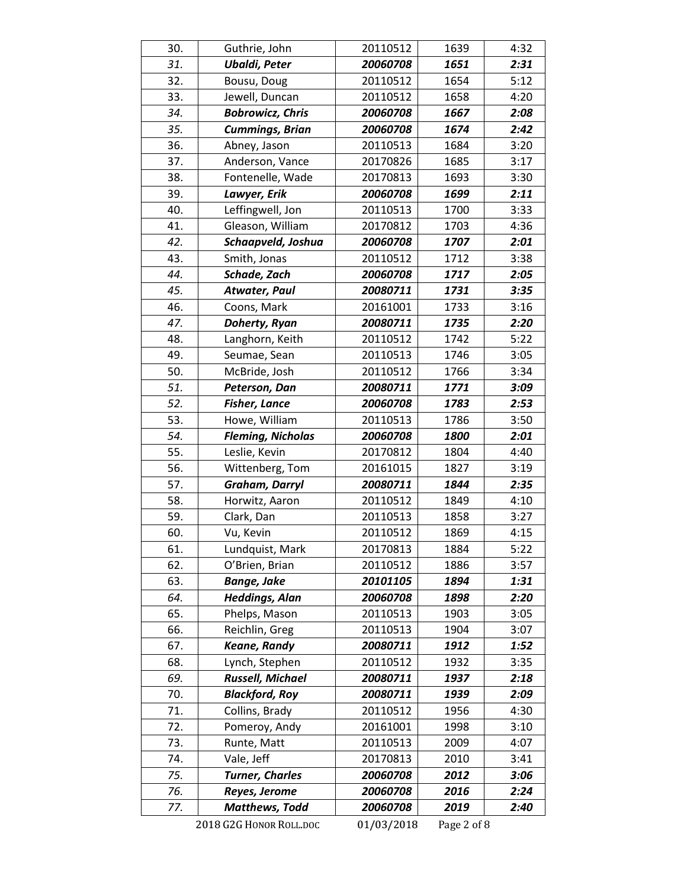| 30.        | Guthrie, John                | 20110512             | 1639         | 4:32         |
|------------|------------------------------|----------------------|--------------|--------------|
| 31.        | <b>Ubaldi, Peter</b>         | 20060708             | 1651         | 2:31         |
| 32.        | Bousu, Doug                  | 20110512             | 1654         | 5:12         |
| 33.        | Jewell, Duncan               | 20110512             | 1658         | 4:20         |
| 34.        | <b>Bobrowicz, Chris</b>      | 20060708             | 1667         | 2:08         |
| 35.        | <b>Cummings, Brian</b>       | 20060708             | 1674         | 2:42         |
| 36.        | Abney, Jason                 | 20110513             | 1684         | 3:20         |
| 37.        | Anderson, Vance              | 20170826             | 1685         | 3:17         |
| 38.        | Fontenelle, Wade             | 20170813             | 1693         | 3:30         |
| 39.        | Lawyer, Erik                 | 20060708             | 1699         | 2:11         |
| 40.        | Leffingwell, Jon             | 20110513             | 1700         | 3:33         |
| 41.        | Gleason, William             | 20170812             | 1703         | 4:36         |
| 42.        | Schaapveld, Joshua           | 20060708             | 1707         | 2:01         |
| 43.        | Smith, Jonas                 | 20110512             | 1712         | 3:38         |
| 44.        | Schade, Zach                 | 20060708             | 1717         | 2:05         |
| 45.        | Atwater, Paul                | 20080711             | 1731         | 3:35         |
| 46.        | Coons, Mark                  | 20161001             | 1733         | 3:16         |
| 47.        | Doherty, Ryan                | 20080711             | 1735         | 2:20         |
| 48.        | Langhorn, Keith              | 20110512             | 1742         | 5:22         |
| 49.        | Seumae, Sean                 | 20110513             | 1746         | 3:05         |
| 50.        | McBride, Josh                | 20110512             | 1766         | 3:34         |
| 51.        | Peterson, Dan                | 20080711             | 1771         | 3:09         |
| 52.        | <b>Fisher, Lance</b>         | 20060708             | 1783         | 2:53         |
| 53.        | Howe, William                | 20110513             | 1786         | 3:50         |
| 54.        | <b>Fleming, Nicholas</b>     | 20060708             | 1800         | 2:01         |
| 55.        | Leslie, Kevin                | 20170812             | 1804         | 4:40         |
| 56.        | Wittenberg, Tom              | 20161015             | 1827         | 3:19         |
| 57.        | Graham, Darryl               | 20080711             | 1844         | 2:35         |
| 58.        | Horwitz, Aaron               | 20110512             | 1849         | 4:10         |
| 59.        | Clark, Dan                   | 20110513             | 1858         | 3:27         |
| 60.        | Vu, Kevin                    | 20110512             | 1869         | 4:15         |
| 61.        | Lundquist, Mark              | 20170813             | 1884         | 5:22         |
| 62.        | O'Brien, Brian               | 20110512             | 1886         | 3:57         |
| 63.        | <b>Bange, Jake</b>           | 20101105             | 1894         | 1:31         |
| 64.        | <b>Heddings, Alan</b>        | 20060708             | 1898         | 2:20         |
| 65.        | Phelps, Mason                | 20110513             | 1903         | 3:05         |
| 66.        | Reichlin, Greg               | 20110513             | 1904         | 3:07         |
| 67.        | <b>Keane, Randy</b>          | 20080711             | 1912         | 1:52         |
| 68.        | Lynch, Stephen               | 20110512             | 1932         | 3:35         |
| 69.        | Russell, Michael             | 20080711             | 1937         | 2:18         |
| 70.        | <b>Blackford, Roy</b>        | 20080711             | 1939         | 2:09         |
| 71.        | Collins, Brady               | 20110512             | 1956         | 4:30         |
| 72.<br>73. | Pomeroy, Andy<br>Runte, Matt | 20161001<br>20110513 | 1998<br>2009 | 3:10<br>4:07 |
| 74.        | Vale, Jeff                   | 20170813             | 2010         | 3:41         |
| 75.        | <b>Turner, Charles</b>       | 20060708             | 2012         | 3:06         |
| 76.        | Reyes, Jerome                | 20060708             | 2016         | 2:24         |
| 77.        | <b>Matthews, Todd</b>        | 20060708             | 2019         | 2:40         |
|            | 2018 G2G HONOR ROLL.DOC      | 01/03/2018           | Page 2 of 8  |              |
|            |                              |                      |              |              |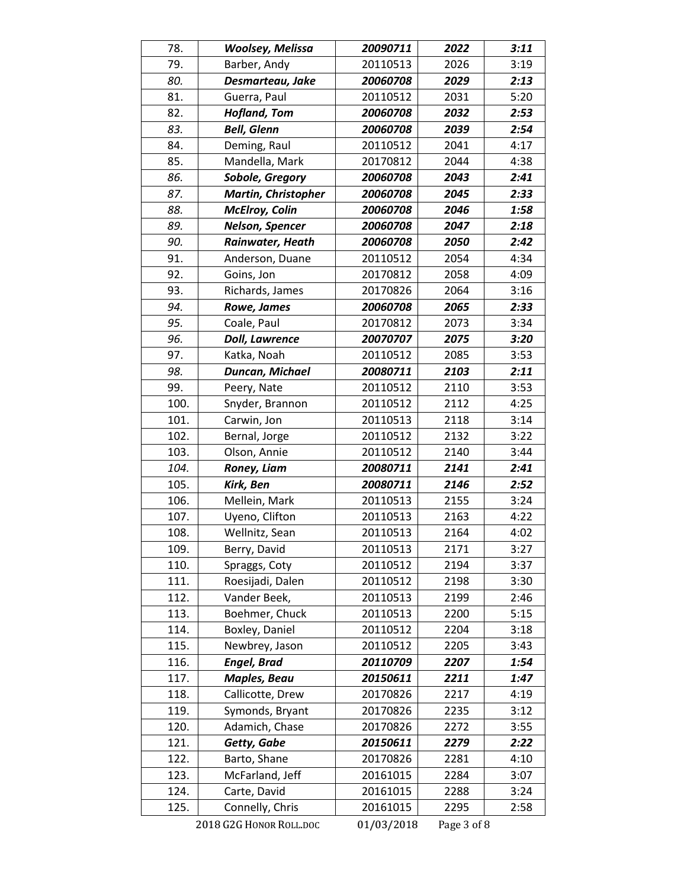| 78.  | <b>Woolsey, Melissa</b>    | 20090711   | 2022        | 3:11 |
|------|----------------------------|------------|-------------|------|
| 79.  | Barber, Andy               | 20110513   | 2026        | 3:19 |
| 80.  | Desmarteau, Jake           | 20060708   | 2029        | 2:13 |
| 81.  | Guerra, Paul               | 20110512   | 2031        | 5:20 |
| 82.  | <b>Hofland, Tom</b>        | 20060708   | 2032        | 2:53 |
| 83.  | <b>Bell, Glenn</b>         | 20060708   | 2039        | 2:54 |
| 84.  | Deming, Raul               | 20110512   | 2041        | 4:17 |
| 85.  | Mandella, Mark             | 20170812   | 2044        | 4:38 |
| 86.  | Sobole, Gregory            | 20060708   | 2043        | 2:41 |
| 87.  | <b>Martin, Christopher</b> | 20060708   | 2045        | 2:33 |
| 88.  | <b>McElroy, Colin</b>      | 20060708   | 2046        | 1:58 |
| 89.  | Nelson, Spencer            | 20060708   | 2047        | 2:18 |
| 90.  | Rainwater, Heath           | 20060708   | 2050        | 2:42 |
| 91.  | Anderson, Duane            | 20110512   | 2054        | 4:34 |
| 92.  | Goins, Jon                 | 20170812   | 2058        | 4:09 |
| 93.  | Richards, James            | 20170826   | 2064        | 3:16 |
| 94.  | Rowe, James                | 20060708   | 2065        | 2:33 |
| 95.  | Coale, Paul                | 20170812   | 2073        | 3:34 |
| 96.  | <b>Doll, Lawrence</b>      | 20070707   | 2075        | 3:20 |
| 97.  | Katka, Noah                | 20110512   | 2085        | 3:53 |
| 98.  | Duncan, Michael            | 20080711   | 2103        | 2:11 |
| 99.  | Peery, Nate                | 20110512   | 2110        | 3:53 |
| 100. | Snyder, Brannon            | 20110512   | 2112        | 4:25 |
| 101. | Carwin, Jon                | 20110513   | 2118        | 3:14 |
| 102. | Bernal, Jorge              | 20110512   | 2132        | 3:22 |
| 103. | Olson, Annie               | 20110512   | 2140        | 3:44 |
| 104. | Roney, Liam                | 20080711   | 2141        | 2:41 |
| 105. | Kirk, Ben                  | 20080711   | 2146        | 2:52 |
| 106. | Mellein, Mark              | 20110513   | 2155        | 3:24 |
| 107. | Uyeno, Clifton             | 20110513   | 2163        | 4:22 |
| 108. | Wellnitz, Sean             | 20110513   | 2164        | 4:02 |
| 109. | Berry, David               | 20110513   | 2171        | 3:27 |
| 110. | Spraggs, Coty              | 20110512   | 2194        | 3:37 |
| 111. | Roesijadi, Dalen           | 20110512   | 2198        | 3:30 |
| 112. | Vander Beek,               | 20110513   | 2199        | 2:46 |
| 113. | Boehmer, Chuck             | 20110513   | 2200        | 5:15 |
| 114. | Boxley, Daniel             | 20110512   | 2204        | 3:18 |
| 115. | Newbrey, Jason             | 20110512   | 2205        | 3:43 |
| 116. | <b>Engel, Brad</b>         | 20110709   | 2207        | 1:54 |
| 117. | <b>Maples, Beau</b>        | 20150611   | 2211        | 1:47 |
| 118. | Callicotte, Drew           | 20170826   | 2217        | 4:19 |
| 119. | Symonds, Bryant            | 20170826   | 2235        | 3:12 |
| 120. | Adamich, Chase             | 20170826   | 2272        | 3:55 |
| 121. | Getty, Gabe                | 20150611   | 2279        | 2:22 |
| 122. | Barto, Shane               | 20170826   | 2281        | 4:10 |
| 123. | McFarland, Jeff            | 20161015   | 2284        | 3:07 |
| 124. | Carte, David               | 20161015   | 2288        | 3:24 |
| 125. | Connelly, Chris            | 20161015   | 2295        | 2:58 |
|      | 2018 G2G HONOR ROLL.DOC    | 01/03/2018 | Page 3 of 8 |      |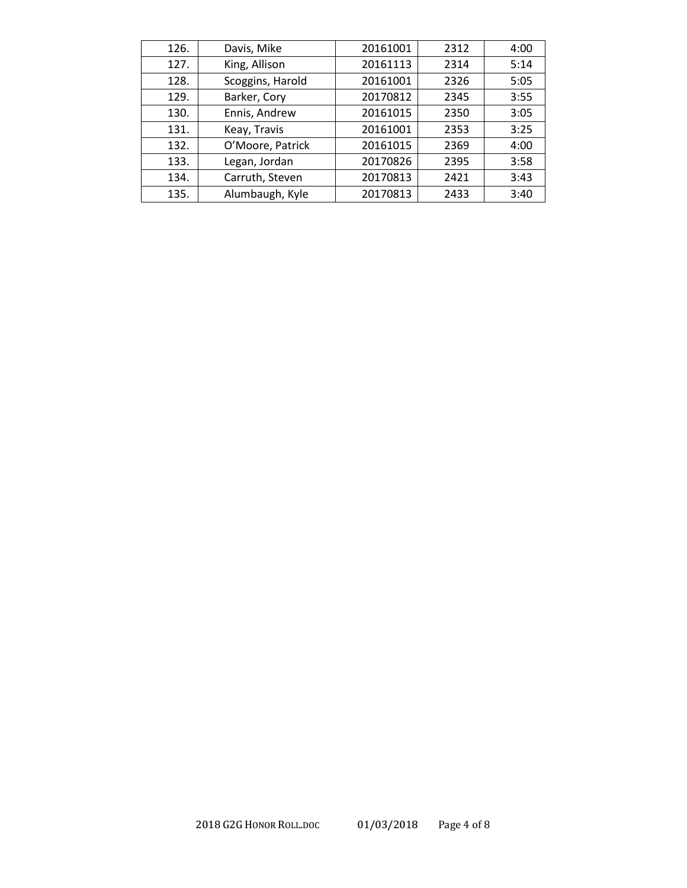| 126. | Davis, Mike      | 20161001 | 2312 | 4:00 |
|------|------------------|----------|------|------|
| 127. | King, Allison    | 20161113 | 2314 | 5:14 |
| 128. | Scoggins, Harold | 20161001 | 2326 | 5:05 |
| 129. | Barker, Cory     | 20170812 | 2345 | 3:55 |
| 130. | Ennis, Andrew    | 20161015 | 2350 | 3:05 |
| 131. | Keay, Travis     | 20161001 | 2353 | 3:25 |
| 132. | O'Moore, Patrick | 20161015 | 2369 | 4:00 |
| 133. | Legan, Jordan    | 20170826 | 2395 | 3:58 |
| 134. | Carruth, Steven  | 20170813 | 2421 | 3:43 |
| 135. | Alumbaugh, Kyle  | 20170813 | 2433 | 3:40 |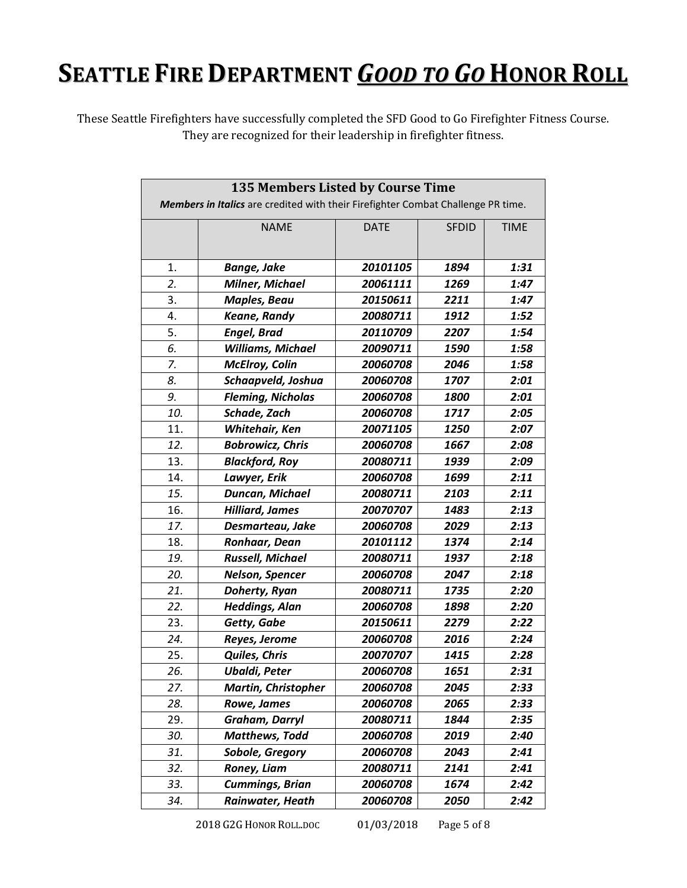## **SEATTLE FIRE DEPARTMENT** *GOOD TO GO* **HONOR ROLL**

These Seattle Firefighters have successfully completed the SFD Good to Go Firefighter Fitness Course. They are recognized for their leadership in firefighter fitness.

|     | 135 Members Listed by Course Time                                                |             |              |             |
|-----|----------------------------------------------------------------------------------|-------------|--------------|-------------|
|     | Members in Italics are credited with their Firefighter Combat Challenge PR time. |             |              |             |
|     | <b>NAME</b>                                                                      | <b>DATE</b> | <b>SFDID</b> | <b>TIME</b> |
|     |                                                                                  |             |              |             |
| 1.  | <b>Bange, Jake</b>                                                               | 20101105    | 1894         | 1:31        |
| 2.  | <b>Milner, Michael</b>                                                           | 20061111    | 1269         | 1:47        |
| 3.  | <b>Maples, Beau</b>                                                              | 20150611    | 2211         | 1:47        |
| 4.  | <b>Keane, Randy</b>                                                              | 20080711    | 1912         | 1:52        |
| 5.  | <b>Engel, Brad</b>                                                               | 20110709    | 2207         | 1:54        |
| 6.  | Williams, Michael                                                                | 20090711    | 1590         | 1:58        |
| 7.  | <b>McElroy, Colin</b>                                                            | 20060708    | 2046         | 1:58        |
| 8.  | Schaapveld, Joshua                                                               | 20060708    | 1707         | 2:01        |
| 9.  | <b>Fleming, Nicholas</b>                                                         | 20060708    | 1800         | 2:01        |
| 10. | Schade, Zach                                                                     | 20060708    | 1717         | 2:05        |
| 11. | Whitehair, Ken                                                                   | 20071105    | 1250         | 2:07        |
| 12. | <b>Bobrowicz, Chris</b>                                                          | 20060708    | 1667         | 2:08        |
| 13. | <b>Blackford, Roy</b>                                                            | 20080711    | 1939         | 2:09        |
| 14. | Lawyer, Erik                                                                     | 20060708    | 1699         | 2:11        |
| 15. | Duncan, Michael                                                                  | 20080711    | 2103         | 2:11        |
| 16. | <b>Hilliard, James</b>                                                           | 20070707    | 1483         | 2:13        |
| 17. | Desmarteau, Jake                                                                 | 20060708    | 2029         | 2:13        |
| 18. | Ronhaar, Dean                                                                    | 20101112    | 1374         | 2:14        |
| 19. | <b>Russell, Michael</b>                                                          | 20080711    | 1937         | 2:18        |
| 20. | Nelson, Spencer                                                                  | 20060708    | 2047         | 2:18        |
| 21. | Doherty, Ryan                                                                    | 20080711    | 1735         | 2:20        |
| 22. | <b>Heddings, Alan</b>                                                            | 20060708    | 1898         | 2:20        |
| 23. | Getty, Gabe                                                                      | 20150611    | 2279         | 2:22        |
| 24. | Reyes, Jerome                                                                    | 20060708    | 2016         | 2:24        |
| 25. | Quiles, Chris                                                                    | 20070707    | 1415         | 2:28        |
| 26. | <b>Ubaldi, Peter</b>                                                             | 20060708    | 1651         | 2:31        |
| 27. | <b>Martin, Christopher</b>                                                       | 20060708    | 2045         | 2:33        |
| 28. | Rowe, James                                                                      | 20060708    | 2065         | 2:33        |
| 29. | Graham, Darryl                                                                   | 20080711    | 1844         | 2:35        |
| 30. | <b>Matthews, Todd</b>                                                            | 20060708    | 2019         | 2:40        |
| 31. | Sobole, Gregory                                                                  | 20060708    | 2043         | 2:41        |
| 32. | Roney, Liam                                                                      | 20080711    | 2141         | 2:41        |
| 33. | <b>Cummings, Brian</b>                                                           | 20060708    | 1674         | 2:42        |
| 34. | Rainwater, Heath                                                                 | 20060708    | 2050         | 2:42        |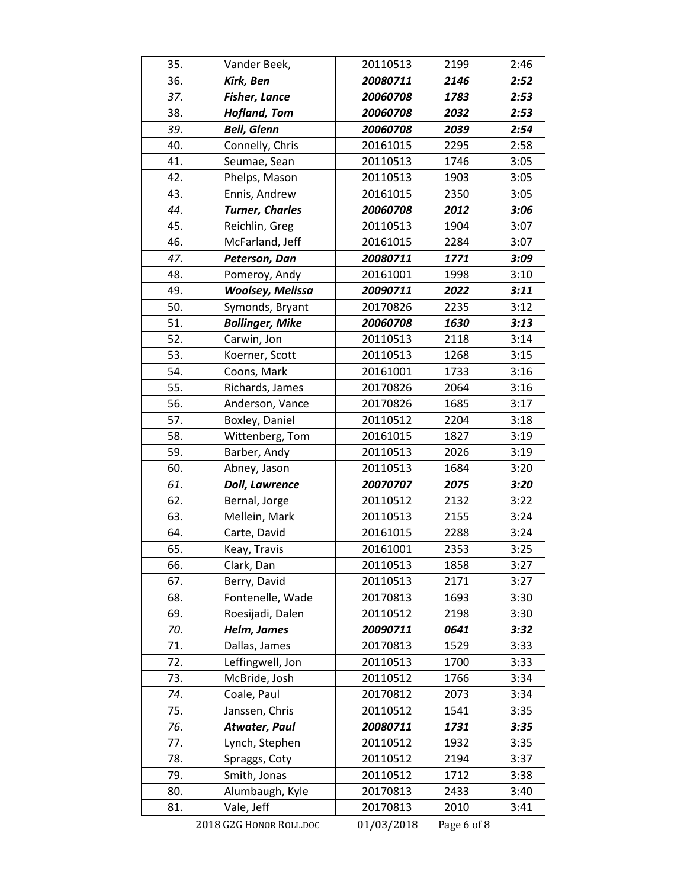| 35. | Vander Beek,            | 20110513   | 2199        | 2:46 |
|-----|-------------------------|------------|-------------|------|
| 36. | Kirk, Ben               | 20080711   | 2146        | 2:52 |
| 37. | <b>Fisher, Lance</b>    | 20060708   | 1783        | 2:53 |
| 38. | <b>Hofland, Tom</b>     | 20060708   | 2032        | 2:53 |
| 39. | <b>Bell, Glenn</b>      | 20060708   | 2039        | 2:54 |
| 40. | Connelly, Chris         | 20161015   | 2295        | 2:58 |
| 41. | Seumae, Sean            | 20110513   | 1746        | 3:05 |
| 42. | Phelps, Mason           | 20110513   | 1903        | 3:05 |
| 43. | Ennis, Andrew           | 20161015   | 2350        | 3:05 |
| 44. | <b>Turner, Charles</b>  | 20060708   | 2012        | 3:06 |
| 45. | Reichlin, Greg          | 20110513   | 1904        | 3:07 |
| 46. | McFarland, Jeff         | 20161015   | 2284        | 3:07 |
| 47. | Peterson, Dan           | 20080711   | 1771        | 3:09 |
| 48. | Pomeroy, Andy           | 20161001   | 1998        | 3:10 |
| 49. | <b>Woolsey, Melissa</b> | 20090711   | 2022        | 3:11 |
| 50. | Symonds, Bryant         | 20170826   | 2235        | 3:12 |
| 51. | <b>Bollinger, Mike</b>  | 20060708   | 1630        | 3:13 |
| 52. | Carwin, Jon             | 20110513   | 2118        | 3:14 |
| 53. | Koerner, Scott          | 20110513   | 1268        | 3:15 |
| 54. | Coons, Mark             | 20161001   | 1733        | 3:16 |
| 55. | Richards, James         | 20170826   | 2064        | 3:16 |
| 56. | Anderson, Vance         | 20170826   | 1685        | 3:17 |
| 57. | Boxley, Daniel          | 20110512   | 2204        | 3:18 |
| 58. | Wittenberg, Tom         | 20161015   | 1827        | 3:19 |
| 59. | Barber, Andy            | 20110513   | 2026        | 3:19 |
| 60. | Abney, Jason            | 20110513   | 1684        | 3:20 |
| 61. | <b>Doll, Lawrence</b>   | 20070707   | 2075        | 3:20 |
| 62. | Bernal, Jorge           | 20110512   | 2132        | 3:22 |
| 63. | Mellein, Mark           | 20110513   | 2155        | 3:24 |
| 64. | Carte, David            | 20161015   | 2288        | 3:24 |
| 65. | Keay, Travis            | 20161001   | 2353        | 3:25 |
| 66. | Clark, Dan              | 20110513   | 1858        | 3:27 |
| 67. | Berry, David            | 20110513   | 2171        | 3:27 |
| 68. | Fontenelle, Wade        | 20170813   | 1693        | 3:30 |
| 69. | Roesijadi, Dalen        | 20110512   | 2198        | 3:30 |
| 70. | Helm, James             | 20090711   | 0641        | 3:32 |
| 71. | Dallas, James           | 20170813   | 1529        | 3:33 |
| 72. | Leffingwell, Jon        | 20110513   | 1700        | 3:33 |
| 73. | McBride, Josh           | 20110512   | 1766        | 3:34 |
| 74. | Coale, Paul             | 20170812   | 2073        | 3:34 |
| 75. | Janssen, Chris          | 20110512   | 1541        | 3:35 |
| 76. | <b>Atwater, Paul</b>    | 20080711   | 1731        | 3:35 |
| 77. | Lynch, Stephen          | 20110512   | 1932        | 3:35 |
| 78. | Spraggs, Coty           | 20110512   | 2194        | 3:37 |
| 79. | Smith, Jonas            | 20110512   | 1712        | 3:38 |
| 80. | Alumbaugh, Kyle         | 20170813   | 2433        | 3:40 |
| 81. | Vale, Jeff              | 20170813   | 2010        | 3:41 |
|     | 2018 G2G HONOR ROLL.DOC | 01/03/2018 | Page 6 of 8 |      |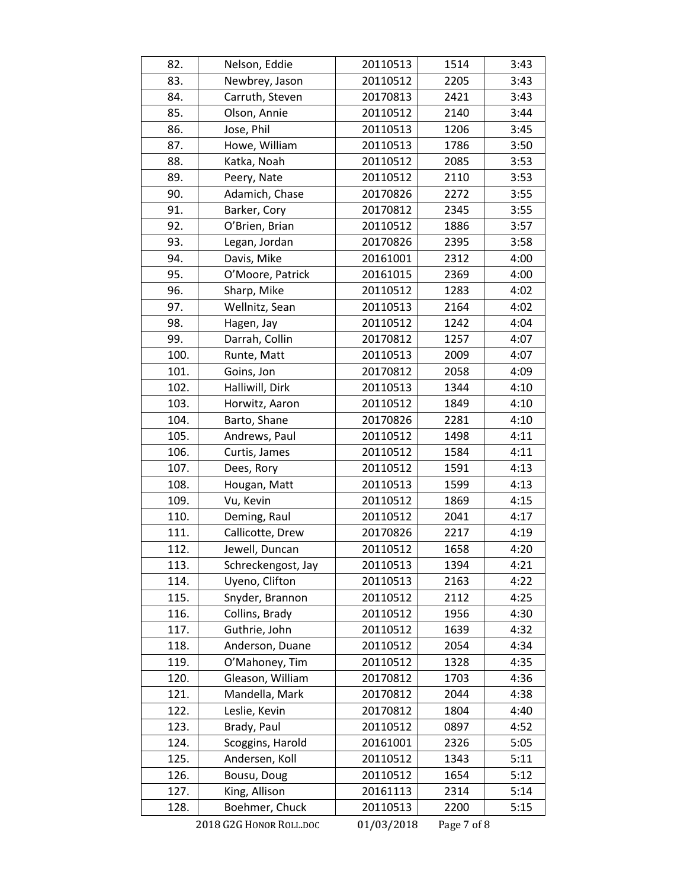| 82.  | Nelson, Eddie           | 20110513   | 1514        | 3:43 |
|------|-------------------------|------------|-------------|------|
| 83.  | Newbrey, Jason          | 20110512   | 2205        | 3:43 |
| 84.  | Carruth, Steven         | 20170813   | 2421        | 3:43 |
| 85.  | Olson, Annie            | 20110512   | 2140        | 3:44 |
| 86.  | Jose, Phil              | 20110513   | 1206        | 3:45 |
| 87.  | Howe, William           | 20110513   | 1786        | 3:50 |
| 88.  | Katka, Noah             | 20110512   | 2085        | 3:53 |
| 89.  | Peery, Nate             | 20110512   | 2110        | 3:53 |
| 90.  | Adamich, Chase          | 20170826   | 2272        | 3:55 |
| 91.  | Barker, Cory            | 20170812   | 2345        | 3:55 |
| 92.  | O'Brien, Brian          | 20110512   | 1886        | 3:57 |
| 93.  | Legan, Jordan           | 20170826   | 2395        | 3:58 |
| 94.  | Davis, Mike             | 20161001   | 2312        | 4:00 |
| 95.  | O'Moore, Patrick        | 20161015   | 2369        | 4:00 |
| 96.  | Sharp, Mike             | 20110512   | 1283        | 4:02 |
| 97.  | Wellnitz, Sean          | 20110513   | 2164        | 4:02 |
| 98.  | Hagen, Jay              | 20110512   | 1242        | 4:04 |
| 99.  | Darrah, Collin          | 20170812   | 1257        | 4:07 |
| 100. | Runte, Matt             | 20110513   | 2009        | 4:07 |
| 101. | Goins, Jon              | 20170812   | 2058        | 4:09 |
| 102. | Halliwill, Dirk         | 20110513   | 1344        | 4:10 |
| 103. | Horwitz, Aaron          | 20110512   | 1849        | 4:10 |
| 104. | Barto, Shane            | 20170826   | 2281        | 4:10 |
| 105. | Andrews, Paul           | 20110512   | 1498        | 4:11 |
| 106. | Curtis, James           | 20110512   | 1584        | 4:11 |
| 107. | Dees, Rory              | 20110512   | 1591        | 4:13 |
| 108. | Hougan, Matt            | 20110513   | 1599        | 4:13 |
| 109. | Vu, Kevin               | 20110512   | 1869        | 4:15 |
| 110. | Deming, Raul            | 20110512   | 2041        | 4:17 |
| 111. | Callicotte, Drew        | 20170826   | 2217        | 4:19 |
| 112. | Jewell, Duncan          | 20110512   | 1658        | 4:20 |
| 113. | Schreckengost, Jay      | 20110513   | 1394        | 4:21 |
| 114. | Uyeno, Clifton          | 20110513   | 2163        | 4:22 |
| 115. | Snyder, Brannon         | 20110512   | 2112        | 4:25 |
| 116. | Collins, Brady          | 20110512   | 1956        | 4:30 |
| 117. | Guthrie, John           | 20110512   | 1639        | 4:32 |
| 118. | Anderson, Duane         | 20110512   | 2054        | 4:34 |
| 119. | O'Mahoney, Tim          | 20110512   | 1328        | 4:35 |
| 120. | Gleason, William        | 20170812   | 1703        | 4:36 |
| 121. | Mandella, Mark          | 20170812   | 2044        | 4:38 |
| 122. | Leslie, Kevin           | 20170812   | 1804        | 4:40 |
| 123. | Brady, Paul             | 20110512   | 0897        | 4:52 |
| 124. | Scoggins, Harold        | 20161001   | 2326        | 5:05 |
| 125. | Andersen, Koll          | 20110512   | 1343        | 5:11 |
| 126. | Bousu, Doug             | 20110512   | 1654        | 5:12 |
| 127. | King, Allison           | 20161113   | 2314        | 5:14 |
| 128. | Boehmer, Chuck          | 20110513   | 2200        | 5:15 |
|      | 2018 G2G HONOR ROLL.DOC | 01/03/2018 | Page 7 of 8 |      |